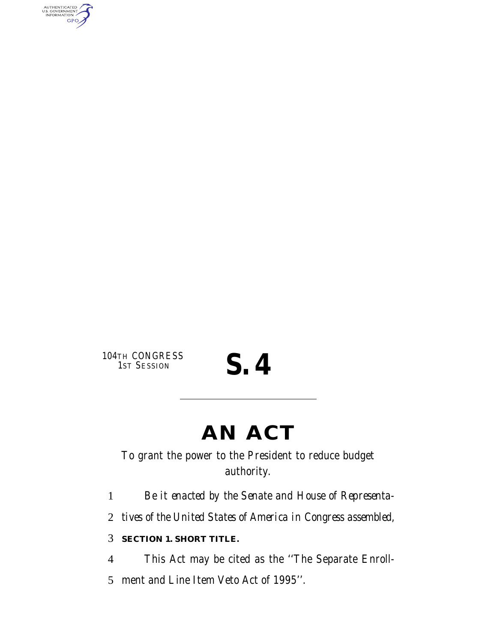AUTHENTICATED<br>U.S. GOVERNMENT<br>INFORMATION **GPO** 

104TH CONGRESS<br>1ST SESSION

## S. 4

### **AN ACT**

To grant the power to the President to reduce budget authority.

1 *Be it enacted by the Senate and House of Representa-*

2 *tives of the United States of America in Congress assembled,*

#### 3 **SECTION 1. SHORT TITLE.**

4 This Act may be cited as the ''The Separate Enroll-5 ment and Line Item Veto Act of 1995''.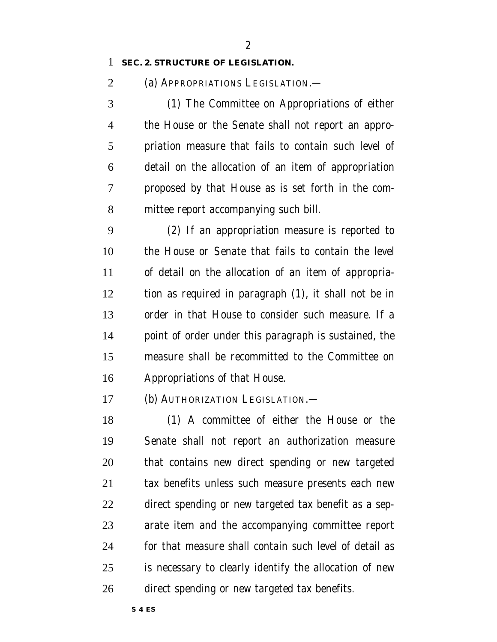#### **SEC. 2. STRUCTURE OF LEGISLATION.**

(a) APPROPRIATIONS LEGISLATION.—

 (1) The Committee on Appropriations of either the House or the Senate shall not report an appro- priation measure that fails to contain such level of detail on the allocation of an item of appropriation proposed by that House as is set forth in the com-mittee report accompanying such bill.

 (2) If an appropriation measure is reported to the House or Senate that fails to contain the level of detail on the allocation of an item of appropria- tion as required in paragraph (1), it shall not be in order in that House to consider such measure. If a point of order under this paragraph is sustained, the measure shall be recommitted to the Committee on Appropriations of that House.

(b) AUTHORIZATION LEGISLATION.—

 (1) A committee of either the House or the Senate shall not report an authorization measure that contains new direct spending or new targeted tax benefits unless such measure presents each new direct spending or new targeted tax benefit as a sep- arate item and the accompanying committee report for that measure shall contain such level of detail as is necessary to clearly identify the allocation of new direct spending or new targeted tax benefits.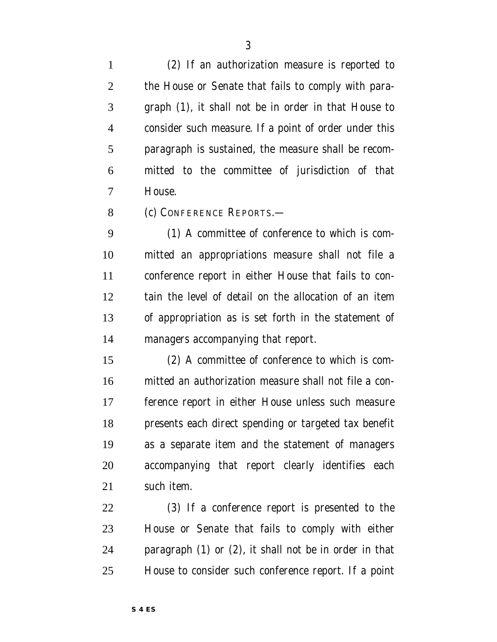(2) If an authorization measure is reported to the House or Senate that fails to comply with para- graph (1), it shall not be in order in that House to consider such measure. If a point of order under this paragraph is sustained, the measure shall be recom- mitted to the committee of jurisdiction of that House.

(c) CONFERENCE REPORTS.—

 (1) A committee of conference to which is com- mitted an appropriations measure shall not file a conference report in either House that fails to con- tain the level of detail on the allocation of an item of appropriation as is set forth in the statement of managers accompanying that report.

 (2) A committee of conference to which is com- mitted an authorization measure shall not file a con- ference report in either House unless such measure presents each direct spending or targeted tax benefit as a separate item and the statement of managers accompanying that report clearly identifies each such item.

 (3) If a conference report is presented to the House or Senate that fails to comply with either paragraph (1) or (2), it shall not be in order in that House to consider such conference report. If a point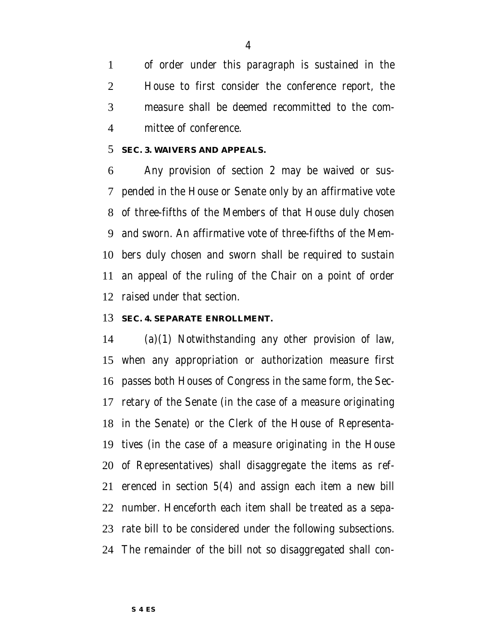of order under this paragraph is sustained in the House to first consider the conference report, the measure shall be deemed recommitted to the com-mittee of conference.

#### **SEC. 3. WAIVERS AND APPEALS.**

 Any provision of section 2 may be waived or sus- pended in the House or Senate only by an affirmative vote of three-fifths of the Members of that House duly chosen and sworn. An affirmative vote of three-fifths of the Mem- bers duly chosen and sworn shall be required to sustain an appeal of the ruling of the Chair on a point of order raised under that section.

#### **SEC. 4. SEPARATE ENROLLMENT.**

 (a)(1) Notwithstanding any other provision of law, when any appropriation or authorization measure first passes both Houses of Congress in the same form, the Sec- retary of the Senate (in the case of a measure originating in the Senate) or the Clerk of the House of Representa- tives (in the case of a measure originating in the House of Representatives) shall disaggregate the items as ref- erenced in section 5(4) and assign each item a new bill number. Henceforth each item shall be treated as a sepa- rate bill to be considered under the following subsections. The remainder of the bill not so disaggregated shall con-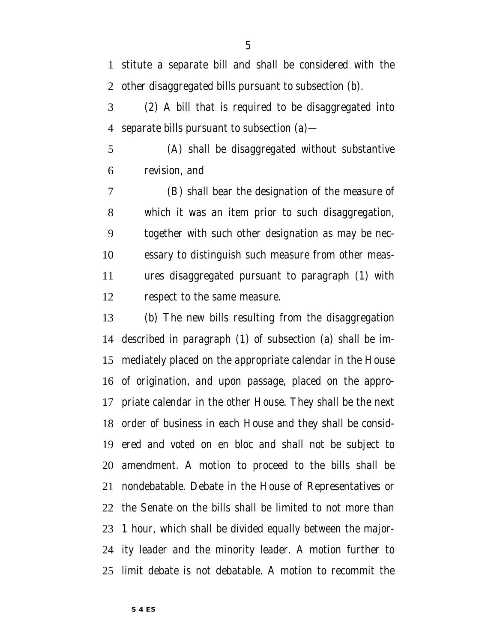ity leader and the minority leader. A motion further to

revision, and

 priate calendar in the other House. They shall be the next order of business in each House and they shall be consid- ered and voted on en bloc and shall not be subject to amendment. A motion to proceed to the bills shall be nondebatable. Debate in the House of Representatives or the Senate on the bills shall be limited to not more than 1 hour, which shall be divided equally between the major-

limit debate is not debatable. A motion to recommit the

 which it was an item prior to such disaggregation, together with such other designation as may be nec- essary to distinguish such measure from other meas- ures disaggregated pursuant to paragraph (1) with respect to the same measure.

(b) The new bills resulting from the disaggregation

described in paragraph (1) of subsection (a) shall be im-

mediately placed on the appropriate calendar in the House

of origination, and upon passage, placed on the appro-

 (2) A bill that is required to be disaggregated into separate bills pursuant to subsection (a)—

(A) shall be disaggregated without substantive

(B) shall bear the designation of the measure of

 stitute a separate bill and shall be considered with the other disaggregated bills pursuant to subsection (b).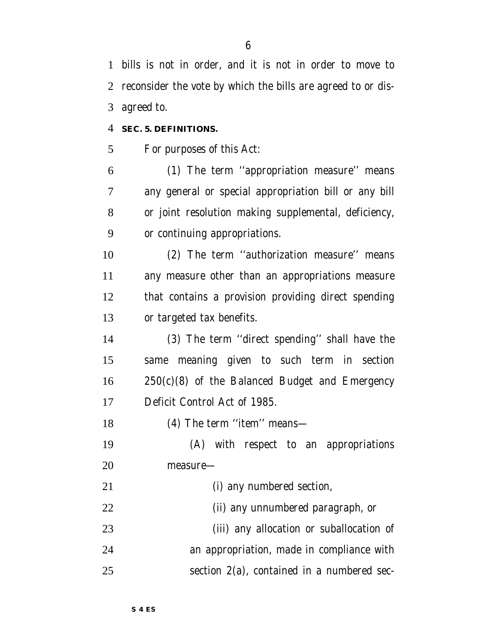bills is not in order, and it is not in order to move to reconsider the vote by which the bills are agreed to or dis-agreed to.

#### **SEC. 5. DEFINITIONS.**

For purposes of this Act:

 (1) The term ''appropriation measure'' means any general or special appropriation bill or any bill or joint resolution making supplemental, deficiency, or continuing appropriations.

 (2) The term ''authorization measure'' means any measure other than an appropriations measure that contains a provision providing direct spending or targeted tax benefits.

 (3) The term ''direct spending'' shall have the same meaning given to such term in section 250(c)(8) of the Balanced Budget and Emergency Deficit Control Act of 1985.

18 (4) The term "item" means—

 (A) with respect to an appropriations measure—

(i) any numbered section,

(ii) any unnumbered paragraph, or

 (iii) any allocation or suballocation of an appropriation, made in compliance with section 2(a), contained in a numbered sec-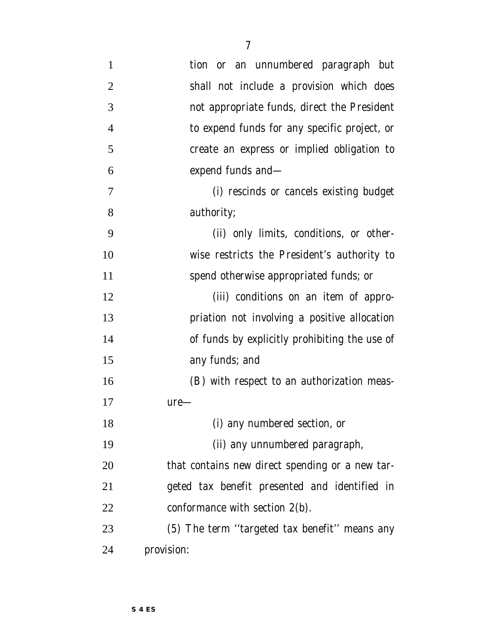| $\mathbf{1}$   | tion or an unnumbered paragraph but             |
|----------------|-------------------------------------------------|
| $\overline{2}$ | shall not include a provision which does        |
| 3              | not appropriate funds, direct the President     |
| $\overline{4}$ | to expend funds for any specific project, or    |
| 5              | create an express or implied obligation to      |
| 6              | expend funds and—                               |
| 7              | (i) rescinds or cancels existing budget         |
| 8              | authority;                                      |
| 9              | (ii) only limits, conditions, or other-         |
| 10             | wise restricts the President's authority to     |
| 11             | spend otherwise appropriated funds; or          |
| 12             | (iii) conditions on an item of appro-           |
| 13             | priation not involving a positive allocation    |
| 14             | of funds by explicitly prohibiting the use of   |
| 15             | any funds; and                                  |
| 16             | (B) with respect to an authorization meas-      |
| 17             | $ure-$                                          |
| 18             | (i) any numbered section, or                    |
| 19             | (ii) any unnumbered paragraph,                  |
| 20             | that contains new direct spending or a new tar- |
| 21             | geted tax benefit presented and identified in   |
| 22             | conformance with section $2(b)$ .               |
| 23             | (5) The term "targeted tax benefit" means any   |
| 24             | provision:                                      |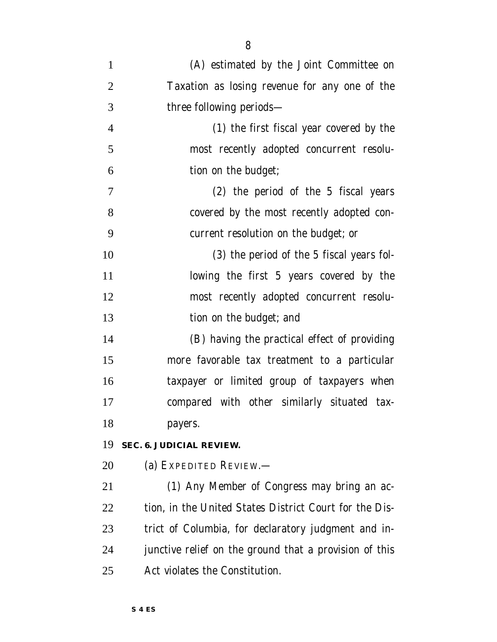| $\mathbf{1}$   | (A) estimated by the Joint Committee on                |
|----------------|--------------------------------------------------------|
| $\overline{2}$ | Taxation as losing revenue for any one of the          |
| 3              | three following periods-                               |
| $\overline{4}$ | (1) the first fiscal year covered by the               |
| 5              | most recently adopted concurrent resolu-               |
| 6              | tion on the budget;                                    |
| $\tau$         | (2) the period of the 5 fiscal years                   |
| 8              | covered by the most recently adopted con-              |
| 9              | current resolution on the budget; or                   |
| 10             | (3) the period of the 5 fiscal years fol-              |
| 11             | lowing the first 5 years covered by the                |
| 12             | most recently adopted concurrent resolu-               |
| 13             | tion on the budget; and                                |
| 14             | (B) having the practical effect of providing           |
| 15             | more favorable tax treatment to a particular           |
| 16             | taxpayer or limited group of taxpayers when            |
| 17             | compared with other similarly situated tax-            |
| 18             | payers.                                                |
| 19             | SEC. 6. JUDICIAL REVIEW.                               |
| 20             | (a) EXPEDITED REVIEW.—                                 |
| 21             | (1) Any Member of Congress may bring an ac-            |
| 22             | tion, in the United States District Court for the Dis- |
| 23             | trict of Columbia, for declaratory judgment and in-    |
| 24             | junctive relief on the ground that a provision of this |
| 25             | Act violates the Constitution.                         |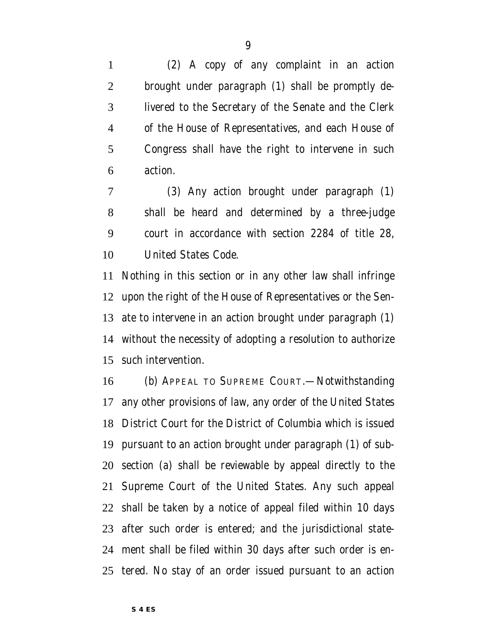(2) A copy of any complaint in an action brought under paragraph (1) shall be promptly de- livered to the Secretary of the Senate and the Clerk of the House of Representatives, and each House of Congress shall have the right to intervene in such action.

 (3) Any action brought under paragraph (1) shall be heard and determined by a three-judge court in accordance with section 2284 of title 28, United States Code.

 Nothing in this section or in any other law shall infringe upon the right of the House of Representatives or the Sen- ate to intervene in an action brought under paragraph (1) without the necessity of adopting a resolution to authorize such intervention.

 (b) APPEAL TO SUPREME COURT.—Notwithstanding any other provisions of law, any order of the United States District Court for the District of Columbia which is issued pursuant to an action brought under paragraph (1) of sub- section (a) shall be reviewable by appeal directly to the Supreme Court of the United States. Any such appeal shall be taken by a notice of appeal filed within 10 days after such order is entered; and the jurisdictional state- ment shall be filed within 30 days after such order is en-tered. No stay of an order issued pursuant to an action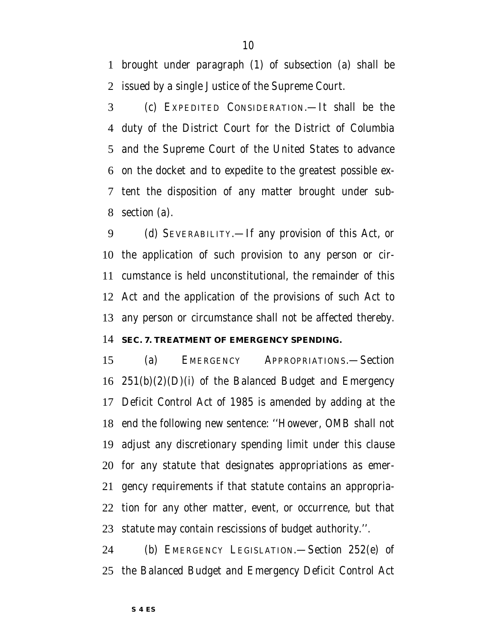brought under paragraph (1) of subsection (a) shall be issued by a single Justice of the Supreme Court.

 (c) EXPEDITED CONSIDERATION.—It shall be the duty of the District Court for the District of Columbia and the Supreme Court of the United States to advance on the docket and to expedite to the greatest possible ex- tent the disposition of any matter brought under sub-section (a).

 (d) SEVERABILITY.—If any provision of this Act, or the application of such provision to any person or cir- cumstance is held unconstitutional, the remainder of this Act and the application of the provisions of such Act to any person or circumstance shall not be affected thereby.

#### **SEC. 7. TREATMENT OF EMERGENCY SPENDING.**

 (a) EMERGENCY APPROPRIATIONS.—Section  $251(b)(2)(D)(i)$  of the Balanced Budget and Emergency Deficit Control Act of 1985 is amended by adding at the end the following new sentence: ''However, OMB shall not adjust any discretionary spending limit under this clause for any statute that designates appropriations as emer- gency requirements if that statute contains an appropria- tion for any other matter, event, or occurrence, but that statute may contain rescissions of budget authority.''.

 (b) EMERGENCY LEGISLATION.—Section 252(e) of the Balanced Budget and Emergency Deficit Control Act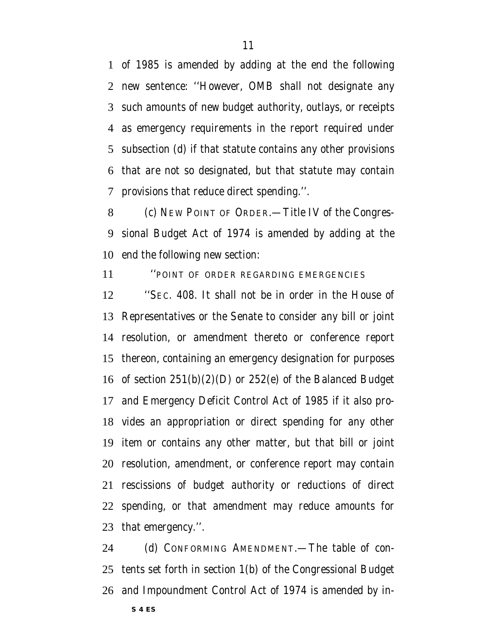of 1985 is amended by adding at the end the following new sentence: ''However, OMB shall not designate any such amounts of new budget authority, outlays, or receipts as emergency requirements in the report required under subsection (d) if that statute contains any other provisions that are not so designated, but that statute may contain provisions that reduce direct spending.''.

 (c) NEW POINT OF ORDER.—Title IV of the Congres- sional Budget Act of 1974 is amended by adding at the end the following new section:

''POINT OF ORDER REGARDING EMERGENCIES

 ''SEC. 408. It shall not be in order in the House of Representatives or the Senate to consider any bill or joint resolution, or amendment thereto or conference report thereon, containing an emergency designation for purposes of section 251(b)(2)(D) or 252(e) of the Balanced Budget and Emergency Deficit Control Act of 1985 if it also pro- vides an appropriation or direct spending for any other item or contains any other matter, but that bill or joint resolution, amendment, or conference report may contain rescissions of budget authority or reductions of direct spending, or that amendment may reduce amounts for that emergency.''.

24 (d) CONFORMING AMENDMENT.—The table of con- tents set forth in section 1(b) of the Congressional Budget and Impoundment Control Act of 1974 is amended by in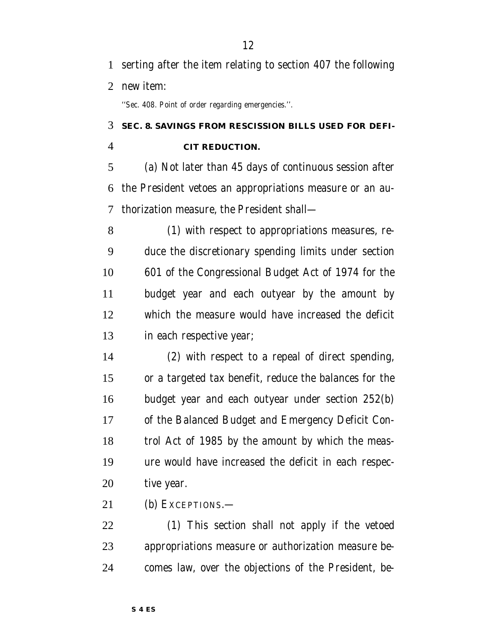''Sec. 408. Point of order regarding emergencies.''.

### **SEC. 8. SAVINGS FROM RESCISSION BILLS USED FOR DEFI-**

#### **CIT REDUCTION.**

 (a) Not later than 45 days of continuous session after the President vetoes an appropriations measure or an au-thorization measure, the President shall—

 (1) with respect to appropriations measures, re- duce the discretionary spending limits under section 601 of the Congressional Budget Act of 1974 for the budget year and each outyear by the amount by which the measure would have increased the deficit in each respective year;

 (2) with respect to a repeal of direct spending, or a targeted tax benefit, reduce the balances for the budget year and each outyear under section 252(b) of the Balanced Budget and Emergency Deficit Con- trol Act of 1985 by the amount by which the meas- ure would have increased the deficit in each respec-tive year.

(b) EXCEPTIONS.—

 (1) This section shall not apply if the vetoed appropriations measure or authorization measure be-comes law, over the objections of the President, be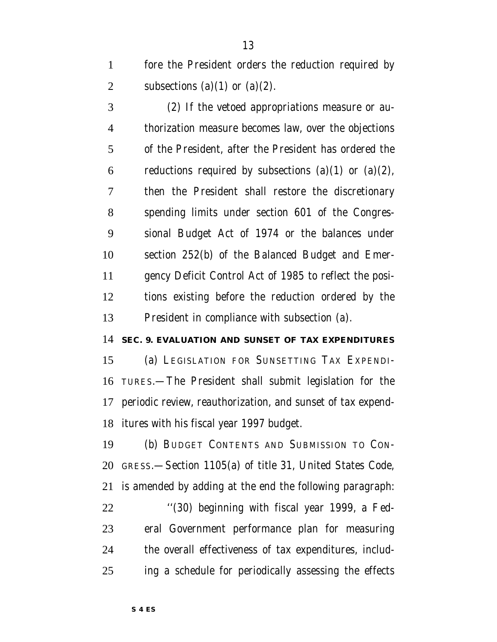fore the President orders the reduction required by 2 subsections (a)(1) or (a)(2).

 (2) If the vetoed appropriations measure or au- thorization measure becomes law, over the objections of the President, after the President has ordered the 6 reductions required by subsections (a)(1) or (a)(2), then the President shall restore the discretionary spending limits under section 601 of the Congres- sional Budget Act of 1974 or the balances under section 252(b) of the Balanced Budget and Emer- gency Deficit Control Act of 1985 to reflect the posi- tions existing before the reduction ordered by the President in compliance with subsection (a).

**SEC. 9. EVALUATION AND SUNSET OF TAX EXPENDITURES**

 (a) LEGISLATION FOR SUNSETTING TAX EXPENDI- TURES.—The President shall submit legislation for the periodic review, reauthorization, and sunset of tax expend-itures with his fiscal year 1997 budget.

 (b) BUDGET CONTENTS AND SUBMISSION TO CON- GRESS.—Section 1105(a) of title 31, United States Code, is amended by adding at the end the following paragraph: ''(30) beginning with fiscal year 1999, a Fed- eral Government performance plan for measuring the overall effectiveness of tax expenditures, includ-ing a schedule for periodically assessing the effects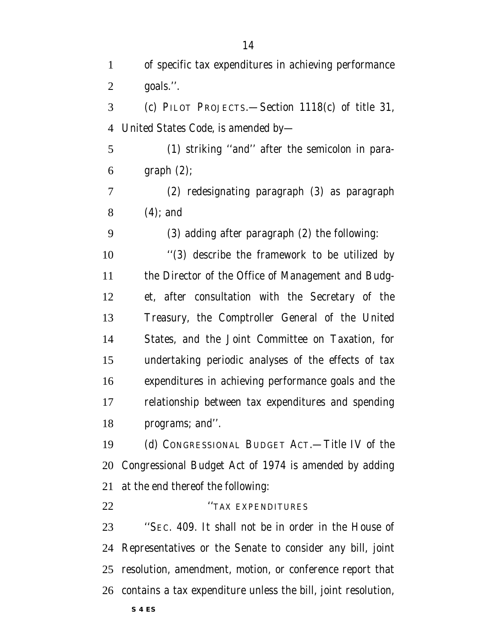| $\mathbf{1}$   | of specific tax expenditures in achieving performance         |
|----------------|---------------------------------------------------------------|
| $\overline{2}$ | goals.".                                                      |
| 3              | (c) PILOT PROJECTS. - Section 1118(c) of title 31,            |
| 4              | United States Code, is amended by-                            |
| 5              | (1) striking "and" after the semicolon in para-               |
| 6              | graph(2);                                                     |
| 7              | (2) redesignating paragraph (3) as paragraph                  |
| 8              | $(4)$ ; and                                                   |
| 9              | (3) adding after paragraph (2) the following:                 |
| 10             | "(3) describe the framework to be utilized by                 |
| 11             | the Director of the Office of Management and Budg-            |
| 12             | et, after consultation with the Secretary of the              |
| 13             | Treasury, the Comptroller General of the United               |
| 14             | States, and the Joint Committee on Taxation, for              |
| 15             | undertaking periodic analyses of the effects of tax           |
| 16             | expenditures in achieving performance goals and the           |
| 17             | relationship between tax expenditures and spending            |
| 18             | programs; and".                                               |
| 19             | (d) CONGRESSIONAL BUDGET ACT.—Title IV of the                 |
| 20             | Congressional Budget Act of 1974 is amended by adding         |
| 21             | at the end thereof the following:                             |
| 22             | "TAX EXPENDITURES                                             |
| 23             | "SEC. 409. It shall not be in order in the House of           |
| 24             | Representatives or the Senate to consider any bill, joint     |
| 25             | resolution, amendment, motion, or conference report that      |
| 26             | contains a tax expenditure unless the bill, joint resolution, |

**S 4 ES**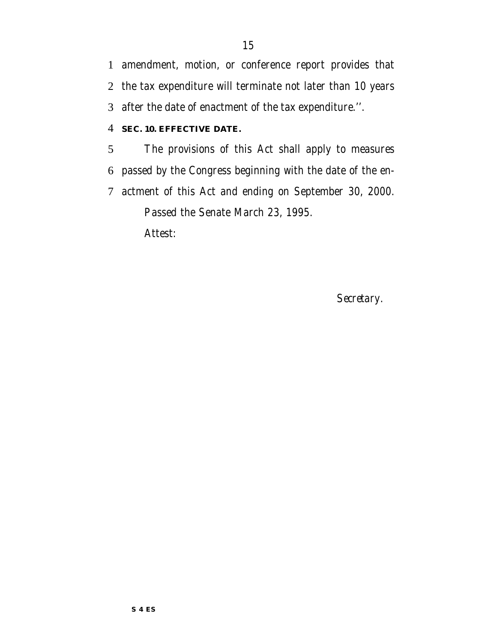amendment, motion, or conference report provides that the tax expenditure will terminate not later than 10 years after the date of enactment of the tax expenditure.''.

#### **SEC. 10. EFFECTIVE DATE.**

 The provisions of this Act shall apply to measures passed by the Congress beginning with the date of the en- actment of this Act and ending on September 30, 2000. Passed the Senate March 23, 1995. Attest:

*Secretary.*